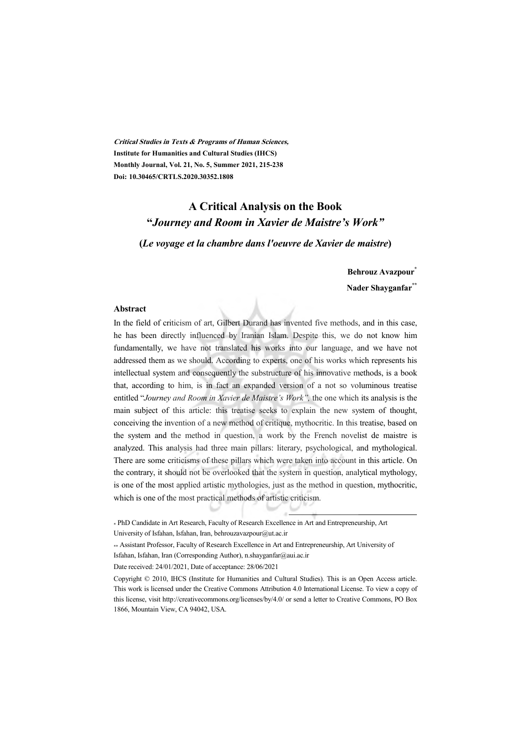**Critical Studies in Texts & Programs of Human Sciences, Institute for Humanities and Cultural Studies (IHCS) Monthly Journal, Vol. 21, No. 5, Summer 2021, 215-238 Doi: 10.30465/CRTLS.2020.30352.1808** 

## **A Critical Analysis on the Book "***Journey and Room in Xavier de Maistre's Work"*

**(***Le voyage et la chambre dans l'oeuvre de Xavier de maistre***)**

**Behrouz Avazpour\***

**Nader Shayganfar\*\***

#### **Abstract**

In the field of criticism of art, Gilbert Durand has invented five methods, and in this case, he has been directly influenced by Iranian Islam. Despite this, we do not know him fundamentally, we have not translated his works into our language, and we have not addressed them as we should. According to experts, one of his works which represents his intellectual system and consequently the substructure of his innovative methods, is a book that, according to him, is in fact an expanded version of a not so voluminous treatise entitled "*Journey and Room in Xavier de Maistre's Work",* the one which its analysis is the main subject of this article: this treatise seeks to explain the new system of thought, conceiving the invention of a new method of critique, mythocritic. In this treatise, based on the system and the method in question, a work by the French novelist de maistre is analyzed. This analysis had three main pillars: literary, psychological, and mythological. There are some criticisms of these pillars which were taken into account in this article. On the contrary, it should not be overlooked that the system in question, analytical mythology, is one of the most applied artistic mythologies, just as the method in question, mythocritic, which is one of the most practical methods of artistic criticism.

1

<sup>\*</sup> PhD Candidate in Art Research, Faculty of Research Excellence in Art and Entrepreneurship, Art University of Isfahan, Isfahan, Iran, behrouzavazpour@ut.ac.ir

<sup>\*\*</sup> Assistant Professor, Faculty of Research Excellence in Art and Entrepreneurship, Art University of Isfahan, Isfahan, Iran (Corresponding Author), n.shayganfar@aui.ac.ir

Date received: 24/01/2021, Date of acceptance: 28/06/2021

Copyright © 2010, IHCS (Institute for Humanities and Cultural Studies). This is an Open Access article. This work is licensed under the Creative Commons Attribution 4.0 International License. To view a copy of this license, visit http://creativecommons.org/licenses/by/4.0/ or send a letter to Creative Commons, PO Box 1866, Mountain View, CA 94042, USA.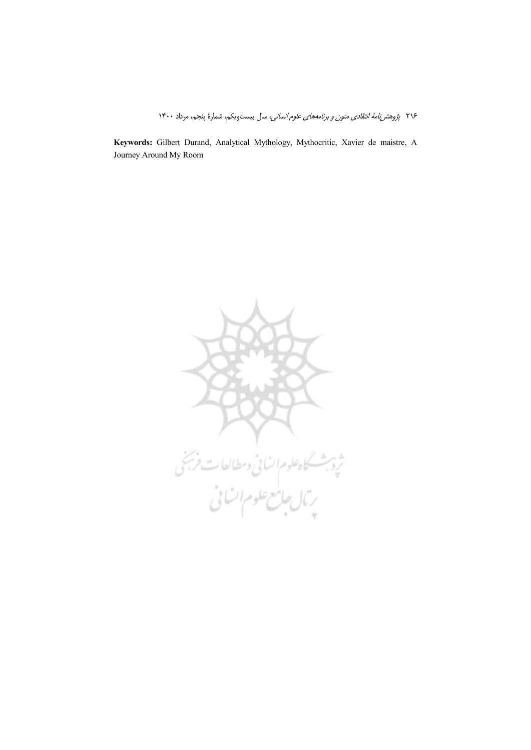Keywords: Gilbert Durand, Analytical Mythology, Mythocritic, Xavier de maistre, A Journey Around My Room

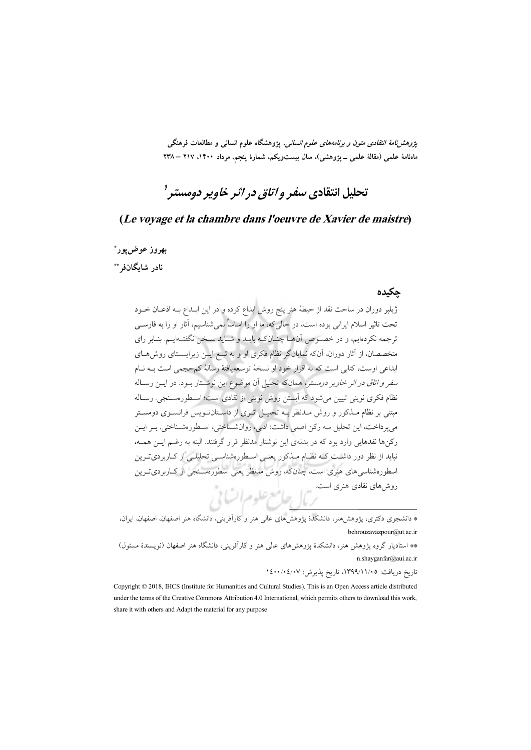*پژوهشنامهٔ انتقادی متون و برنامههای علوم انسانی*، پژوهشگاه علوم انسانی و مطالعات فرهنگی ماهنامهٔ علمی (مقالهٔ علمی \_ یژوهشی)، سال بیستویکم، شمارهٔ پنجم، مرداد ۱۴۰۰، ۲۱۷ – ۲۳۸

# تحليل انتقادي *سف*ر و *اتاق در اث*ر خ*اوير دومستر '*

### (Le voyage et la chambre dans l'oeuvre de Xavier de maistre)

## بهروز عوض يور\* نادر شاىگانفىش

### حكىدە

.<br>ژیلبر دوران در ساحت نقد از حیطهٔ هنر پنج روش ابداع کرده و در این ابـداع بــه اذعــان خــود تحت تاثير اسلام ايراني بوده است، در حالي كه، ما او را اساساً نمي شناسيم، آثار او را به فارســي ترجمه نکردهایم، و در خصوص آنهـا چنـانکـه بایـد و شـاید سـخن نگفتـهایـم. بنـابر رای متخصصان، از آثار دوران، آنکه نمایانگر نظام فکری او و به تبـع ایــن زیرایســتای روش۵حای ابداعی اوست، کتابی است که به اقرار خود او نسخهٔ توسعه یافتهٔ رسالهٔ کم حجمی است بــه نــام *سفر و اتاق در اثر خاویر دومستر*، همانکه تحلیل آن موضوع این نوشتار بـود. در ایــن رسـاله نظام فكرى نويني تبيين مي شود كه اَبِستن روش نويني از نقادي است؛ اسـطورهســنجي. رســاله مبتنی بر نظام مـذکور و روش مـدنظر بـه تحليـل اثـري از داسـتانـنـويس فرانســوي دومســتر می یرداخت، این تحلیل سه رکن اصلی داشت: ادبی، روانشـناختی، اسـطورهشـناختی. بـر ایـن رکنها نقدهایی وارد بود که در بدنهی این نوشتار مدنظر قرار گرفتند. البته به رغـم ایــن همــه، نباید از نظر دور داشت کـه نظـام مـذکور یعنـی اسـطورهشناسـی تحلیلـی از کـاربردیتـرین اسطورهشناسی های هنری است، چنانکه، روش مدنظر یعنی اسطورهسـنجی از کـاربردیتـرین 

\* دانشجوی دکتری، پژوهشهمنر، دانشکدهٔ پژوهشهای عالی هنر و کارآفرینی، دانشگاه هنر اصفهان، اصفهان، ایران، behrouzavazpour@ut.ac.ir

\*\* استادیار گروه یژوهش هنر، دانشکدهٔ یژوهش های عالمی هنر و کاراَفرینی، دانشگاه هنر اصفهان (نویسندهٔ مسئول) n.shayganfar@aui.ac.ir

تاريخ دريافت: ١٣٩٩/١١/٠٥، تاريخ يذيرش: ١٤٠٠/٠٤/٠٧

Copyright © 2018, IHCS (Institute for Humanities and Cultural Studies). This is an Open Access article distributed under the terms of the Creative Commons Attribution 4.0 International, which permits others to download this work, share it with others and Adapt the material for any purpose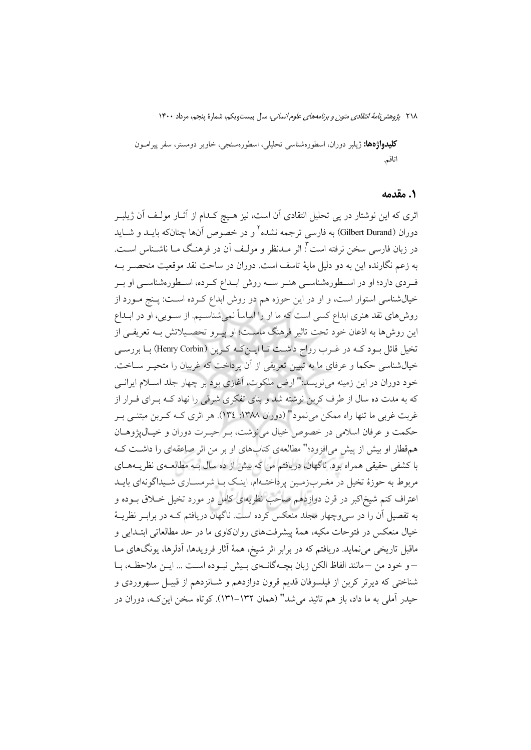**کلیدواژهها:** ژیلبر دوران، اسطورهشناسی تحلیلی، اسطورهسنجی، خاویر دومستر، سفر پیرامــون اتاقم.

### ١. مقدمه

اثری که این نوشتار در پی تحلیل انتقادی آن است، نیز هـیچ کـدام از آثــار مولـف آن ژیلبــر دوران (Gilbert Durand) به فارسی ترجمه نشده<sup>۲</sup> و در خصوص آنها چنانکه بایــد و شــاید در زبان فارسی سخن نرفته است ٌ: اثر مــدنظر و مولـف آن در فرهنـگ مــا ناشــناس اســت. به زعم نگارنده این به دو دلیل مایهٔ تاسف است. دوران در ساحت نقد موقعیت منحصـر بــه فـردي دارد؛ او در اسـطورهشناسـي هنـر سـه روش ابـداع كـرده، اسـطورهشناسـي او بـر خیالشناسی استوار است، و او در این حوزه هم دو روش ابداع کـرده اســت: پــنج مــورد از روش های نقد هنری ابداع کسی است که ما او را اساساً نمی شناسـیم. از سـویی، او در ابــداع این روشها به اذعان خود تحت تاثیر فرهنگ ماسـت؛ او پیــرو تحصـیلاتش بــه تعریفــی از تخیل قائل بـود کـه در غـرب رواج داشـت تـا ایــنکـه کـربن (Henry Corbin) بـا بررسـي خیالشناسی حکما و عرفای ما به تبیین تعریفی از آن پرداخت که غربیان را متحیـر ســاخت. خود دوران در این زمینه می نویسد:" ارض ملکوت، آغازی بود بر چهار جلد اسـلام ایرانــی که به مدت ده سال از طرف کربن نوشته شد و بنای تفکری شرقی را نهاد کـه بـرای فـرار از غربت غربی ما تنها راه ممکن می نمود" (دوران ۱۳۸۸: ١٣٤). هر اثری کــه کــربن مبتنــی بــر حکمت و عرفان اسلامی در خصوص خیال می نوشت، بـر حیـرت دوران و خیـال پژوهـان همقطار او بیش از پیش می افزود؛" مطالعهی کتابهای او بر من اثر صاعقهای را داشت ک با کشفی حقیقی همراه بود. ناگهان، دریافتم من که بیش از ده سال بــه مطالعــهی نظریــههــای مربوط به حوزهٔ تخیل در مغـربزمـین پرداختـهام، اینـک بـا شرمسـاری شـیداگونهای بایـد اعتراف کنم شیخاکبر در قرن دوازدهم صاحب نظریهای کامل در مورد تخیل خـلاق بــوده و به تفصیل آن را در سی وچهار مجلد منعکس کرده است. ناگهان دریافتم کـه در برابـر نظریــهٔ خیال منعکس در فتوحات مکیه، همهٔ پیشرفتهای روانکاوی ما در حد مطالعاتی ابتـدایی و ماقبل تاریخی می نماید. دریافتم که در برابر اثر شیخ، همهٔ آثار فرویدها، آدلرها، یونگهای مـا – و خود من –مانند الفاظ الكن زبان بچـهگانــهاى بـيش نبـوده اسـت … ايـن ملاحظـه، بـا شناختی که دیرتر کربن از فیلسوفان قدیم قرون دوازدهم و شـانزدهم از قبیـل سـهروردی و حیدر آملی به ما داد، باز هم تائید می شد" (همان ۱۳۲–۱۳۱). کو تاه سخن این کـه، دوران در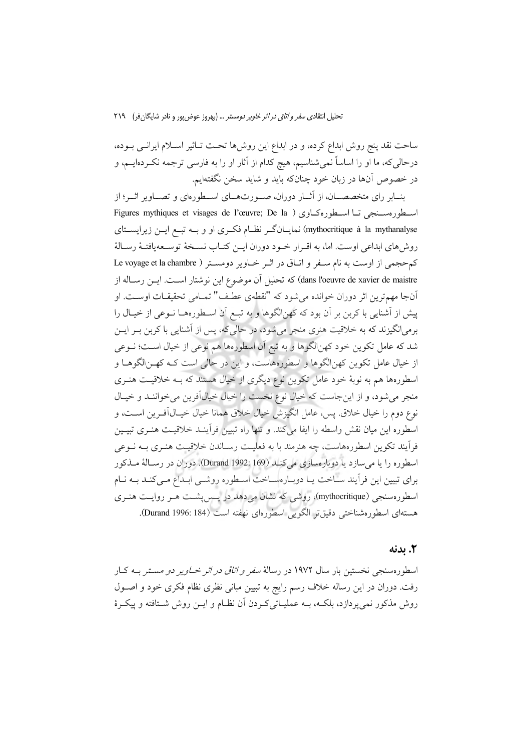ساحت نقد پنج روش ابداع کرده، و در ابداع این روش۵ا تحـت تــاثیر اســلام ایرانــی بــوده، درحالی که، ما او را اساساً نمیشناسیم، هیچ کدام از آثار او را به فارسی ترجمه نکـردهایــم، و در خصوص آنها در زبان خود چنانکه باید و شاید سخن نگفتهایم.

بنــابر راي متخصصـــان، از آثــار دوران، صـــورتهـــاي اســـطورهاي و تصـــاوير اثـــر؛ از Figures mythiques et visages de l'œuvre; De la ) استطوره مسنجي تبا استطوره كباوي ( mythocritique à la mythanalyse) نمایـانگـر نظـام فكـرى او و بــه تبــع ايــن زيرايســتاي روش های ابداعی اوست. اما، به اقـرار خـود دوران ایـن کتـاب نسـخهٔ توسـعهیافتـهٔ رسـالهٔ كم حجمي از اوست به نام سـفر و اتـاق در اثـر خـاوير دومسـتر ( Le voyage et la chambre dans l'oeuvre de xavier de maistre) كه تحليل أن موضوع اين نوشتار است. ايــن رسـاله از آنجا مهمترين اثر دوران خوانده مي شود كه "نقطهي عطـف" تمـامي تحقيقـات اوســت. او پیش از آشنایی با کربن بر آن بود که کهنالگوها و به تبـع آن اسـطورههــا نــوعی از خیــال را برمیانگیزند که به خلاقیت هنری منجر میشود، در حالیگه، پس از آشنایی با کربن بـر ایــن شد که عامل تکوین خود کهنالگوها و به تبع آن اسطورهها هم نوعی از خیال است؛ نــوعی از خیال عامل تکوین کهنالگوها و اسطورههاست، و این در حالی است کـه کهـنالگوهــا و اسطورهها هم به نوبهٔ خود عامل تکوین نوع دیگری از خیال هستند که بـه خلاقیـت هنـری منجر میشود، و از اینجاست که خیال نوع نخست را خیال خیال آفرین میخواننـد و خیـال نوع دوم را خيال خلاق. پس، عامل انگيزش خيال خلاق همانا خيال خيـال1َفـرين اســت، و اسطوره اين ميان نقش واسطه را ايفا مي كند. و تنها راه تبيين فرآينـد خلاقيـت هنـرى تبيـين فرآیند تکوین اسطورههاست، چه هنرمند با به فعلیـت رسـاندن خلاقیـت هنـری بــه نــوعی اسطوره را يا مي سازد يا دوبارهسازي مي كنيد (Durand 1992: 169). دوران در رسـالة مـذكور برای تبیین این فرآیند ساخت یـا دوبـارهسـاخت اسـطوره روشـی ابـداع مـی کنـد بــه نــام اسطورهسنجی (mythocritique)، روشی که نشان میدهد در پس پشـت هــر روایــت هنــری هستهاي اسطورهشناختي دقيق تر الگويي اسطورهاي نهفته است (Durand 1996: 184).

#### 2. ىدنە

اسطورهسنجی نخستین بار سال ۱۹۷۲ در رسالهٔ *سفر و اتاق در اثر خـاویر دو مست*ر بـه کـار رفت. دوران در این رساله خلاف رسم رایج به تبیین مبانی نظری نظام فکری خود و اصـول روش مذکور نمی پردازد، بلکـه، بــه عمليــاتیکـردن آن نظــام و ايــن روش شــتافته و پيکــرهٔ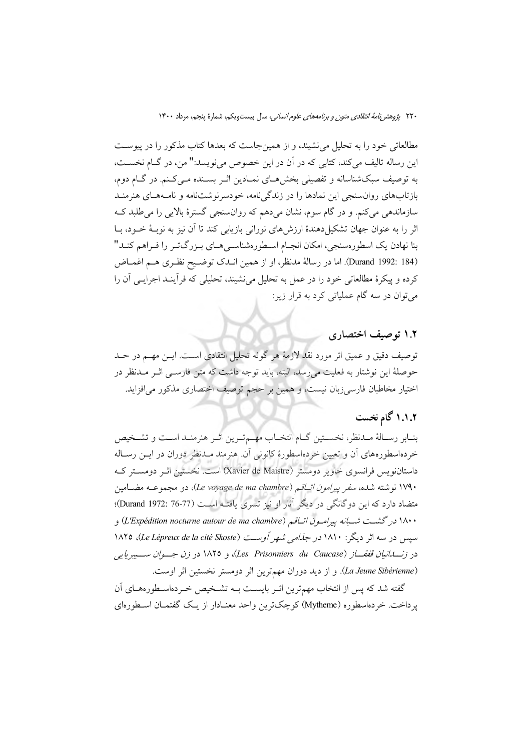مطالعاتی خود را به تحلیل می نشیند، و از همین جاست که بعدها کتاب مذکور را در پیوست اين رساله تاليف مي كند، كتابي كه در آن در اين خصوص مي نويسد:" من، در گــام نخســت، به توصیف سبکشناسانه و تفصیلی بخشهـای نمـادین اثـر بسـنده مـیکـنم. در گـام دوم، بازتابهای روان سنجی این نمادها را در زندگی نامه، خودسرنوشتنامه و نامـههـای هنرمنـد سازماندهی میکنم. و در گام سوم، نشان میدهم که روانسنجی گسترهٔ بالایی را میطلبد ک اثر را به عنوان جهان تشکیل دهندهٔ ارزش های نورانی بازیابی کند تا آن نیز به نوبـهٔ خــود، بــا بنا نهادن یک اسطورهسنجی، امکان انجـام اسـطورهشناسـیِ هـای بـزرگتـر را فـراهم کنـد" (Durand 1992: 184). اما در رسالهٔ مدنظر، او از همین انـدک توضـیح نظـری هـم اغمـاض كرده و پيكرهٔ مطالعاتي خود را در عمل به تحليل مي نشيند، تحليلي كه فرآينـد اجرايـي آن را می توان در سه گام عملیاتی کرد به قرار زیر:

## ۱.۲ توصیف اختصاری

توصيف دقيق و عميق اثر مورد نقد لازمهٔ هر گونه تحليل انتقادي است. ايـن مهــم در حــد حوصلهٔ این نوشتار به فعلیت می رسد، البته، باید توجه داشت که متن فارســی اثــر مــدنظر در اختیار مخاطبان فارسیزبان نیست، و همین بر حجم توصیف اختصاری مذکور می افزاید.

## ١.١.٢ گام نخست

بنــابر رســالهٔ مــدنظر، نخســتين گــام انتخــاب مهــمتـرين اثــر هنرمنــد اســت و تشــخيص خردهاسطورههای آن و تعیین خردهاسطورهٔ کانونی آن. هنرمند مـدنظر دوران در ایــن رسـاله داستاننویس فرانسوی خاویر دومستر (Xavier de Maistre) است. نخستین اثـر دومسـتر کـه ۱۷۹۰ نوشته شده، *سفر پیرامون اتــاقم (Le voyage de ma chambre*)، دو مجموعــه مضــامین متضاد دارد که این دوگانگی در دیگر آثار او نیز تسری یافته است (Durand 1972: 76-77)؛ ۱۸۰۰ در گشت شسانه پیرامبون اتباقیم (L'Expédition nocturne autour de ma chambre) و سپس در سه اثر دیگر: ۱۸۱۰ *در جذامی شهر آوست (Le Lépreux de la cité Skoste)*، ۱۸۲۵ در زنسللنيان قفقساز (Les Prisonniers du Caucase)، و ١٨٢٥ در زن جسوان سسيبريايي (La Jeune Sibérienne). و از دید دوران مهمترین اثر دومستر نخستین اثر اوست.

گفته شد که پس از انتخاب مهمترین اثـر بایسـت بــه تشـخیص خــردهاسـطورههــای آن یرداخت. خردهاسطوره (Mytheme) کوچکترین واحد معنـادار از یـک گفتمـان اسـطورهای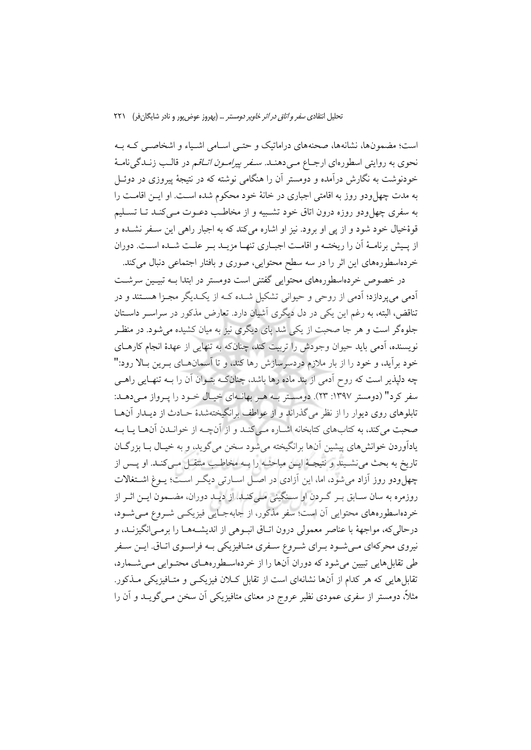است؛ مضمونها، نشانهها، صحنههای دراماتیک و حتـی اسـامی اشـیاء و اشخاصـی کـه بـه نحوی به روایتی اسطورهای ارجـاع مــی۵هنــد. *ســفر پیرامــون اتــاق*م در قالــب زنــدگی&نامــهٔ خودنوشت به نگارش درآمده و دومستر آن را هنگامی نوشته که در نتیجهٔ پیروزی در دوئـل به مدت چهل ودو روز به اقامتی اجباری در خانهٔ خود محکوم شده است. او ایــن اقامــت را به سفري چهل ودو روزه درون اتاق خود تشـبيه و از مخاطـب دعــوت مــي كنــد تــا تســليم قوهٔخیال خود شود و از یی او برود. نیز او اشاره میکند که به اجبار راهی این سـفر نشـده و از پسش برنامـهٔ آن را ریختـه و اقامـت اجبـاری تنهـا مزیـد بـر علـت شـده اسـت. دوران خردهاسطورههای این اثر را در سه سطح محتوایی، صوری و بافتار اجتماعی دنبال میکند.

در خصوص خردهاسطورههای محتوایی گفتنی است دومستر در ابتدا بــه تبیــین سرشــت آدمی می پردازد؛ آدمی از روحی و حیوانی تشکیل شـده کـه از یکـدیگر مجـزا هسـتند و در تناقض، البته، به رغم این یکی در دل دیگری آشیان دارد. تعارض مذکور در سراسـر داسـتان جلوهگر است و هر جا صحبت از یکی شد پای دیگری نیز به میان کشیده می شود. در منظـر نویسنده، آدمی باید حیوان وجودش را تربیت کند، چنانکه به تنهایی از عهدهٔ انجام کارهــای خود برآید، و خود را از بار ملازم دردسرسازش رها کند، و تا آسمانهـای بـرین بـالا رود:" چه دلپذیر است که روح اَدمی از بند ماده رها باشد، چنانکـه بتــوان اَن را بــه تنهــایی راهــی سفر کرد" (دومستر ۱۳۹۷: ۲۳). دومستر بـه هـر بهانـهاي خيـال خـود را يـرواز مـي دهـد: تابلوهای روی دیوار را از نظر میگذراند و از عواطف برانگیختهشدهٔ حـادث از دیـدار آنهـا صحبت می کند، به کتابهای کتابخانه اشـاره مـی کنـد و از آنچـه از خوانـدن آنهـا يـا بـه بادآوردن خوانش هاي پيشين آنها برانگيخته مي شود سخن مي گويد، و به خسال بيا بزر گيان تاریخ به بحث می نشـیند و نتیجـهٔ ایــن مباحثـه را بــه مخاطـب متتقــل مــیکنــد. او پــس از چهل ودو روز آزاد می شود، اما، این آزادی در اصـل اسـارتی دیگـر اسـت؛ پـوغ اشـتغالات روزمره به سان سـابق بـر گـردن او سـنگيني مـي كنـد. از ديـد دوران، مضــمون ايــن اثــر از خردهاسطورههای محتوایی آن است؛ سفر مذکور، از جابهجـایی فیزیکـی شـروع مـیشـود، درحالي كه، مواجههٔ با عناصر معمولي درون اتـاق انبـوهي از انديشـههـا را برمـي|نگيزنـد، و نیروی محرکهای مـیشـود بـرای شـروع سـفری متـافیزیکی بـه فراسـوی اتـاق. ایــن سـفر طی تقابل هایی تبیین می شود که دوران آنها را از خردهاسطورههـای محتـوایی مـی شــمارد، تقابلهایی که هر کدام از آنها نشانهای است از تقابل کلان فیزیکسی و متـافیزیکی مــذکور. مثلاً، دومستر از سفری عمودی نظیر عروج در معنای متافیزیکی آن سخن مــیگویــد و آن را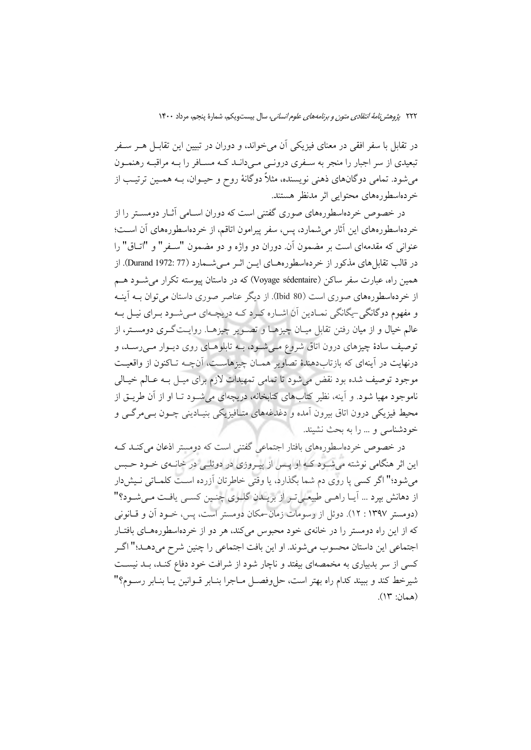در تقابل با سفر افقی در معنای فیزیکی آن می خواند، و دوران در تبیین این تقابـل هــر ســفر تبعیدی از سر اجبار را منجر به سـفری درونـی مـیدانـد کـه مسـافر را بـه مراقبـه رهنمـون میشود. تمامی دوگانهای ذهنی نویسنده، مثلاً دوگانهٔ روح و حیــوان، بــه همــین ترتیــب از خردهاسطورههای محتوایی اثر مدنظر هستند.

در خصوص خردهاسطورههای صوری گفتنی است که دوران اسـامی آثــار دومســتر را از خردهاسطورههای این آثار می شمارد، پس، سفر پیرامون اتاقیم، از خردهاسطورههای آن اسـت؛ عنواني كه مقدمهاي است بر مضمون آن. دوران دو واژه و دو مضمون "سـفر" و "اتــاق" را در قالب تقابل های مذکور از خردهاسطورههای ایــن اثــر مــیشــمارد (77 :1972 Durand). از همین راه، عبارت سفر ساکن (Voyage sédentaire) که در داستان پیوسته تکرار می شـود هــم از خردهاسطورههای صوری است (80 Ibid). از دیگر عناصر صوری داستان می توان بـه آینـه و مفهوم دوگانگی-پگانگی نمـادین آن اشـاره کـرد کـه دریچـهای مـیشـود بـرای نیـل بـه عالم خیال و از میان رفتن تقابل میـان چیزهـا و تصـویر چیزهـا. روایـتگـری دومسـتر، از توصيف سادهٔ چيزهاي درون اتاق شروع مـي شـود، بـه تابلوهـاي روي ديـوار مـيرسـد، و درنهایت در آینهای که بازتابدهندهٔ تصاویر همـان چیزهاسـت، آنچـه تـاکنون از واقعیـت موجود توصیف شده بود نقض می شود تا تمامی تمهیدات لازم برای میـل بـه عـالـم خیـالی ناموجود مهیا شود. و آینه، نظیر کتابهای کتابخانه، دریچهای می شـود تـا او از آن طریــق از محيط فيزيكي درون اتاق بيرون اَمده و دغدغههاي متـافيزيكي بنيـاديني چــون بــي مرگـــي و خودشناسی و ... را به بحث نشیند.

در خصوص خردهاسطورههای بافتار اجتماعی گفتنی است که دومستر اذعان می کنـد کـه این اثر هنگامی نوشته میشود که او پس از پیروزی در دوئلی در خانمی خود حبس می شود؛" اگر کسی پا روی دم شما بگذارد، یا وقتی خاطرتان آزرده است کلمـاتی نـیش۱دار از دهانش بپرد ... آیـا راهـی طبیعـیتـر از بریـلدن گلـوی چنـین کسـی یافـت مـیشـود؟" (دومستر ۱۳۹۷ : ۱۲). دوئل از رسومات زمان-مکان دومستر است، پس، خـود آن و قـانونی که از این راه دومستر را در خانهی خود محبوس میکند، هر دو از خردهاسطورههـای بافتـار اجتماعي اين داستان محسوب مي شوند. او اين بافت اجتماعي را چنين شرح ميدهـد؛" اگـر کسی از سر بدبیاری به مخمصهای بیفتد و ناچار شود از شرافت خود دفاع کنـد، بـد نیسـت شيرخط كند و ببيند كدام راه بهتر است، حل وفصــل مــاجرا بنــابر قــوانين يــا بنــابر رســوم؟" (همان: ١٣).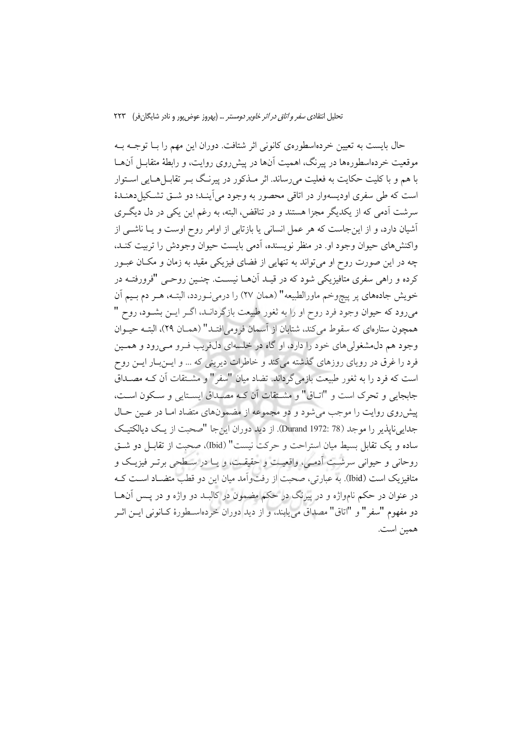حال بایست به تعیین خردهاسطورهی کانونی اثر شتافت. دوران این مهم را بـا توجـه بـه موقعیت خردهاسطورهها در پیرنگ، اهمیت آنها در پیش روی روایت، و رابطهٔ متقابـل آنهــا با هم و با کلیت حکایت به فعلیت می رساند. اثر مـذکور در پیرنـگ بـر تقابــل(هــایی اســتوار است که طی سفری اودیسهوار در اتاقی محصور به وجود می آینـد؛ دو شــق تشـکیل دهنــدهٔ سرشت اَدمی که از یکدیگر مجزا هستند و در تناقض، البته، به رغم این یکی در دل دیگری آشیان دارد، و از این جاست که هر عمل انسانی یا بازتابی از اوامر روح اوست و یـا ناشــی از واکنش های حیوان وجود او. در منظر نویسنده، آدمی بایست حیوان وجودش را تربیت کنـد، چه در این صورت روح او میتواند به تنهایی از فضای فیزیکی مقید به زمان و مکـان عبــور کرده و راهی سفری متافیزیکی شود که در قیـد آنهـا نیسـت. چنـین روحـی "فرورفتــه در خويش جادههاي پر پيچوخم ماورالطبيعه" (همان ٢٧) را درمي وردد، البتـه، هـر دم بـيم آن میرود که حیوان وجود فرد روح او را به ثغور طبیعت بازگردانـد، اگـر ایــن بشــود، روح " همچون ستارهای که سقوط می کند، شتابان از آسمان فرومی(فتـد" (همـان ۲۹)، البتــه حیــوان وجود هم دل مشغولي هاي خود را دارد، او گاه در خلسهاي دل، ويب فيرو مي رود و همين فرد را غرق در رویای روزهای گذشته میکند و خاطرات دیرینی که … و ایــن.بـار ایــن روح است كه فرد را به ثغور طبیعت بازمی گرداند. تضاد میان "سفر" و مشــتقات آن كـه مصــداق جابجايي و تحرك است و "اتباق" و مشتقات أن كيه مصداق ايستايي و سكون است، پیش روی روایت را موجب می شود و دو مجموعه از مضمونهای متضاد امـا در عـین حـال جدايي نايذير را موجد (Durand 1972: 78). از ديد دوران اين جا "صحبت از يك ديالكتيك ساده و یک تقابل بسیط میان استراحت و حرکت نیست" (Ibid)، صحبت از تقابـل دو شــق روحانی و حیوانی سرشت آدمی، واقعیت و حقیقت، و یـا در سـطحی برتـر فیزیـک و متافیزیک است (Ibid). به عبارتی، صحبت از رفتواًمد میان این دو قطب متضـاد اسـت کــه در عنوان در حکم نامواژه و در پیرنگ در حکم مضمون در کالبـد دو واژه و در پــس آن۱هـا دو مفهوم "سفر" و "اتاق" مصداق مي يابند، و از ديد دوران خردهاسـطورهٔ كـانوني ايــن اثــر همين است.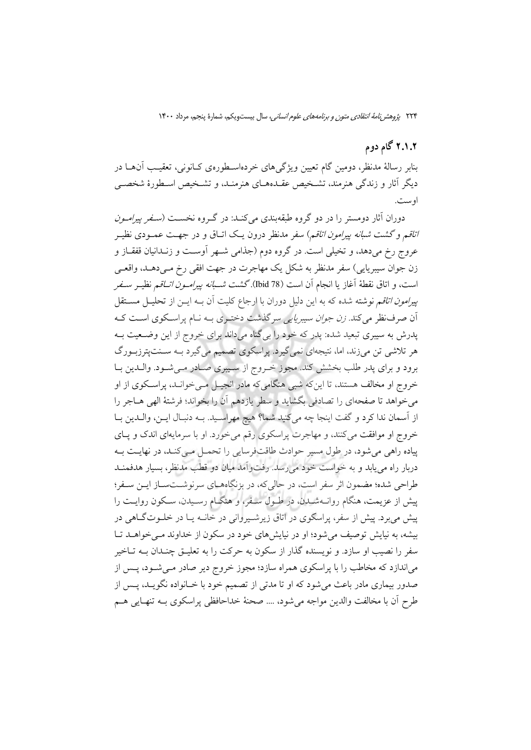## ۲.۱.۲ گام دوم

بنابر رسالهٔ مدنظر، دومین گام تعیین ویژگیهای خردهاسـطورهی کـانونی، تعقیـب اّنهــا در دیگر آثار و زندگی هنرمند، تشـخیص عقـدههـای هنرمنـد، و تشـخیص اسـطورهٔ شخصـی او ست.

دوران آثار دومستر را در دو گروه طبقهبندی میکنـد: در گـروه نخســت (*سـفر ییرامـون اتاقم و گشت شبانه پیرامون اتاقم*) سفر مدنظر درون یک اتـاق و در جهـت عمــودی نظیــر عروج رخ می٫دهد، و تخیلی است. در گروه دوم (جذامی شـهر آوسـت و زنـدانیان قفقــاز و زن جوان سيبريايي) سفر مدنظر به شكل يک مهاجرت در جهت افقي رخ مـي(هـد، واقعـي است، و اتاق نقطهٔ آغاز یا انجام آن است (Tbid 78).گشت *شـبانه پیرامـون اتـاق*م نظیـر *سـفر ییرامون اتاق*م نوشته شده که به این دلیل دوران با ارجاع کلیت آن بــه ایــن از تحلیــل مســتقل ان صرف نظر می کند. *زن جوان سیبر پایی* سر گذشت دختـری بـه نـام پراسـکوی اسـت کـه پدرش به سیبری تبعید شده: پدر که خود را بی گناه میداند برای خروج از این وضـعیت بــه هر تلاشی تن میزند، اما، نتیجهای نمیگیرد. پراسکوی تصمیم میگیرد بـه سـنتپترزبـورگ برود و برای پدر طلب بخشش کند. مجوز خـروج از سـیبری صـادر مـیشـود. والـدین بـا خروج او مخالف هستند، تا این که شبی هنگامی که مادر انجیـل مـی خوانـد، پراسـکوی از او می خواهد تا صفحهای را تصادفی بگشاید و سطر یازدهم آن را بخواند؛ فرشتهٔ الهی هـاجر را از اسمان ندا كرد و گفت اينجا چه ميكنيد شما؟ هيچ مهراسيد. بـه دنبـال ايـن، والـدين بـا خروج او موافقت میکنند، و مهاجرت پراسکوی رقم می خورد. او با سرمایهای اندک و پای پیاده راهی می شود، در طول مسیر حوادث طاقتفرسایی را تحمیل می کنید، در نهاییت بیه دربار راه می یابد و به خواست خود می رسد. رفت وآمد میان دو قطب مدنظر، بسیار هدفمنـد طراحي شده؛ مضمون اثر سفر است، در حالي كه، در بزنگاههــاي سرنوشــتســاز ايــن ســفر؛ پیش از عزیمت، هنگام روانــهشــدن، در طــول ســفر، و هنگــام رســیدن، ســکون روایــت را پیش می برد. پیش از سفر، پراسکوی در اتاق زیرشیپروانی در خانــه پــا در خلــوت گــاهی در بیشه، به نیایش توصیف می شود؛ او در نیایش های خود در سکون از خداوند مـی خواهــد تــا سفر را نصیب او سازد. و نویسنده گذار از سکون به حرکت را به تعلیــق چنــدان بــه تــاخیر میاندازد که مخاطب را با پراسکوی همراه سازد؛ مجوز خروج دیر صادر مـیشـود، پـس از صدور بیماری مادر باعث میشود که او تا مدتی از تصمیم خود با خـانواده نگویــد، پــس از طرح أن با مخالفت والدين مواجه مي شود، … صحنهٔ خداحافظي پراسكوي بــه تنهـايي هــم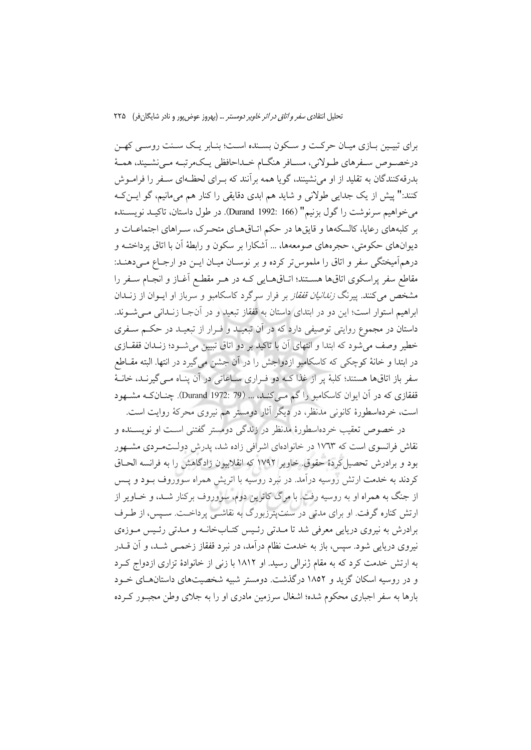برای تبیـین بـازی میـان حرکـت و سـکون بسـنده اسـت؛ بنـابر یـک سـنت روسـی کهـن درخصـوص سـفرهاي طـولاني، مسـافر هنگــام خــداحافظي يــکـمرتبــه مــي نشــيند، همــهٔ بدرقه کنندگان به تقلید از او می نشینند، گویا همه برآنند که بـرای لحظـهای سـفر را فرامـوش كنند:" پیش از یک جدایی طولانی و شاید هم ابدی دقایقی را كنار هم میءانیم، گو ایــن کــه مي خواهيم سرنوشت را گول بزنيم" (Durand 1992: 166). در طول داستان، تاكيــد نويســنده بر کلبههای رعایا، کالسکهها و قایقها در حکم اتـاقهـای متحـرک، سـراهای اجتماعـات و دیوانهای حکومتی، حجرههای صومعهها، … آشکارا بر سکون و رابطهٔ اَن با اتاق یرداختـه و درهم آميختگي سفر و اتاق را ملموس تر كرده و بر نوسـان ميـان ايــن دو ارجــاع مــي دهنــد: مقاطع سفر پراسکوی اتاقها هسـتند؛ اتـاقهـایی کـه در هـر مقطـع اَغـاز و انجـام سـفر را مشخص می کنند. پیرنگ *زندانیان قفقاز* بر فرار سرگرد کاسکامبو و سرباز او ایــوان از زنــدان ابراهيم استوار است؛ اين دو در ابتداى داستان به قفقاز تبعيد و در آنجـا زنـدانى مـى شـوند. داستان در مجموع روایتی توصیفی دارد که در آن تبعیـد و فـرار از تبعیـد در حکـم سـفری خطیر وصف می شود که ابتدا و انتهای آن با تاکید بر دو اتاق تبیین می شـود؛ زنـدان قفقــازی در ابتدا و خانهٔ کوچکی که کاسکامبو ازدواجش را در آن جشن میگیرد در انتها. البته مقــاطع سفر باز اتاقها هستند؛ کلبهٔ پر از غذا کـه دو فـراری سـاعاتی در آن پنـاه مـی گیرنـد، خانـهٔ قفقازی که در آن ایوان کاسکامبو را گم مـی کنــد، ... (Turand 1972: 79). چنــانکــه مشــهود است، خردهاسطورهٔ کانونی مدنظر، در دیگر آثار دومستر هم نیروی محرکهٔ روایت است.

در خصوص تعقیب خردهاسطورهٔ مدنظر در زندگی دومستر گفتنی اسـت او نویســنده و نقاش فرانسوی است که ۱۷٬۳۳ در خانوادهای اشرافی زاده شد، پدرش دولـتمـردی مشـهور بود و برادرش تحصیل کردهٔ حقوق خاویر ۱۷۹۲ که انقلابیون زادگاهش را به فرانسه الحــاق کردند به خدمت ارتش روسیه درآمد. در نبرد روسیه با اتریش همراه سووروف بـود و پـس از جنگ به همراه او به روسیه رفت. با مرگ کاترین دوم، سووروف برکنار شـد، و خــاویر از ارتش کناره گرفت. او برای مدتی در سنتپترزبورگ به نقاشـی پرداخـت. سـپس، از طـرف برادرش به نیروی دریایی معرفی شد تا مـدتی رئـیس کتـابخانـه و مـدتی رئـیس مـوزهی نیروی دریایی شود. سپس، باز به خدمت نظام درآمد، در نبرد قفقاز زخمـی شـد، و آن قــدر به ارتش خدمت کرد که به مقام ژنرالی رسید. او ۱۸۱۲ با زنی از خانوادهٔ تزاری ازدواج کـرد و در روسیه اسکان گزید و ۱۸۵۲ درگذشت. دومستر شبیه شخصیتهای داستانهای خـود بارها به سفر اجباری محکوم شده؛ اشغال سرزمین مادری او را به جلای وطن مجبور کـرده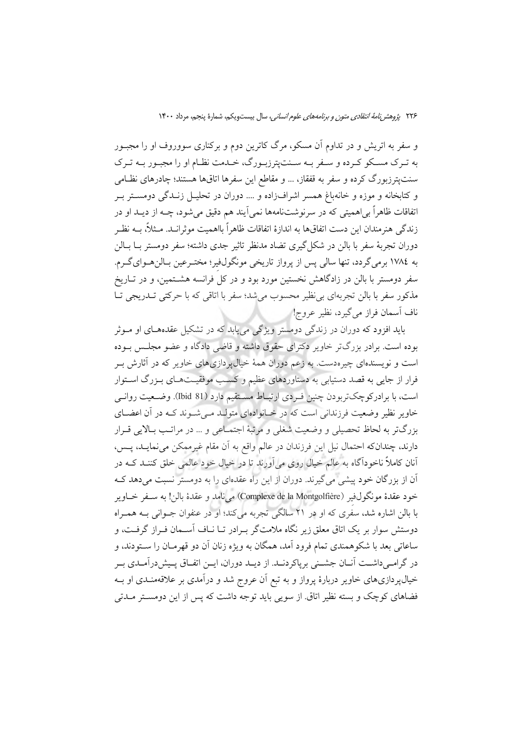و سفر به اتریش و در تداوم آن مسکو، مرگ کاترین دوم و برکناری سووروف او را مجبـور به تـرک مسـکو کـرده و سـفر بـه سـنتيترزبـورگ، خـدمت نظـام او را مجبـور بـه تـرک سنتپترزبورگ کرده و سفر به قفقاز، … و مقاطع این سفرها اتاقها هستند؛ چادرهای نظامی و کتابخانه و موزه و خانهباغ همسر اشرافزاده و .... دوران در تحلیـل زنــدگی دومســتر بــر اتفاقات ظاهراً بي|هميتي كه در سرنوشتنامهها نمي]يند هم دقيق مي شود، چــه از ديــد او در زندگی هنرمندان این دست اتفاقها به اندازهٔ اتفاقات ظاهراً بااهمیت موثرانـد. مـثلاً، بــه نظـر دوران تجربهٔ سفر با بالن در شکل گیری تضاد مدنظر تاثیر جدی داشته؛ سفر دومستر بــا بــالن به ١٧٨٤ برمي گردد، تنها سالي پس از پرواز تاريخي مونگولفير؛ مختـرعين بـالنهـواي٤كـرم. سفر دومستر با بالن در زادگاهش نخستین مورد بود و در کل فرانسه هشــتمین، و در تــاریخ .<br>مذکور سفر با بالن تجربهای بی'ظیر محسوب میشد؛ سفر با اتاقی که با حرکتی تــدریجی تــا ناف آسمان فراز مي گيرد، نظير عروج!

باید افزود که دوران در زندگی دومستر ویژگی می پابد که در تشکیل عقدههای او مـوثر بوده است. برادر بزرگتر خاویر دکترای حقوق داشته و قاضی دادگاه و عضو مجلـس بـوده است و نویسندهای چیرهدست. به زعم دوران همهٔ خیالپردازیهای خاویر که در آثارش بـر فرار از جایی به قصد دستیابی به دستاوردهای عظیم و کسب موفقیتهای بـزرگ اسـتوار است، با برادرکوچکتربودن چنین فردی ارتباط مستقیم دارد (Ibid 81). وضعیت روانبی خاویر نظیر وضعیت فرزندانی است که در خـانوادهای متولـد مـی شـوند کـه در آن اعضـای بزرگتر به لحاظ تحصیلی و وضعیت شغلی و مرتبهٔ اجتمـاعی و … در مراتـب بـالایی قـرار دارند، چندانکه احتمال نیل این فرزندان در عالم واقع به آن مقام غیرممکن می نمایـد، پـس، آنان کاملاً ناخودآگاه به عالم خیال روی می[ورند تا در خیال خود عالمی خلق کننــد کــه در آن از بزرگان خود پیشی می گیرند. دوران از این راه عقدهای را به دومستر نسبت میدهد ک خود عقدة مونگولفير (Complexe de la Montgolfière) مي نامد و عقدة بالن! به سـفر خـاوير با بالن اشاره شد، سفَّری که او در ۲۱ سالگی تجربه میکند؛ او در عنفوان جــوانی بــه همــراه دوستش سوار بر یک اتاق معلق زیر نگاه ملامتگر بـرادر تـا نــاف اَســمان فــراز گرفــت، و ساعاتی بعد با شکوهمندی تمام فرود آمد، همگان به ویژه زنان آن دو قهرمـان را سـتودند، و در گرامـیداشــت آنــان جشــنی برپاکردنــد. از ديــد دوران، ايــن اتفــاق پــيش(درآمــدي بــر خیال پردازیهای خاویر دربارهٔ پرواز و به تبع آن عروج شد و درآمدی بر علاقهمنـدی او بــه فضاهای کوچک و بسته نظیر اتاق از سویی باید توجه داشت که پس از این دومستر مـدتی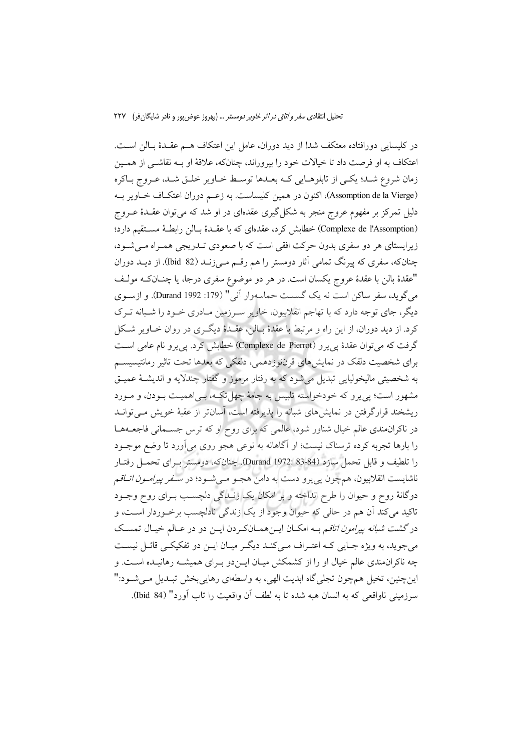در كليسايي دورافتاده معتكف شد! از ديد دوران، عامل اين اعتكاف هــم عقـدهٔ بـالن اســت. اعتكاف به او فرصت داد تا خيالات خود را بيروراند، چنانكه، علاقهٔ او بـه نقاشــي از همـين زمان شروع شـد؛ يكـي از تابلوهـايي كـه بعـدها توسـط خـاوير خلـق شـد، عـروج بـاكره (Assomption de la Vierge)، اکنون در همین کلیساست. به زعـم دوران اعتکـاف خـاویر بـه دلیل تمرکز بر مفهوم عروج منجر به شکل گیری عقدمای در او شد که میتوان عقـدهٔ عــروج (Complexe de l'Assomption) خطابش کرد، عقدهای که با عقـدهٔ بـالن رابطـهٔ مسـتقیم دارد؛ زیرایستای هر دو سفری بدون حرکت افقی است که با صعودی تــدریجی همــراه مــی شــود، چنانکه، سفری که پیرنگ تمامی آثار دومستر را هم رقــم مــیiنــد (82 Ibid). از دیــد دوران "عقدهٔ بالن با عقدهٔ عروج یکسان است. در هر دو موضوع سفری درجا، یا چنــانکـه مولـف میگوید، سفر ساکن است نه یک گسست حماسهوار آنی " (179: Durand 1992). و ازسوی دیگر، جای توجه دارد که با تهاجم انقلابیون، خاویر سـرزمین مـادری خــود را شــبانه تــرک کرد. از دید دوران، از این راه و مرتبط با عقدهٔ بـالن، عقـدهٔ دیگـری در روان خــاویر شــکل گرفت که می توان عقدۂ یے پرو (Complexe de Pierrot) خطابش کرد. یے پرو نام عامی است برای شخصیت دلقک در نمایشهای قرننوزدهمی، دلقکی که بعدها تحت تاثیر رمانتیسیسم به شخصيتي ماليخوليايي تبديل مي شود كه به رفتار مرموز و گفتار چندلايه و انديشـهٔ عميــق مشهور است؛ یی یرو که خودخواسته تلبیس به جامهٔ چهل تکـه، بـی|همیـت بـودن، و مـورد ریشخند قرارگرفتن در نمایش های شبانه را پذیرفته است، آسانتر از عقبهٔ خویش مـی توانـد در ناکران مندی عالم خیال شناور شود، عالمی که برای روح او که ترس جسـمانی فاجعـههـا را بارها تجربه کرده ترسناک نیست؛ او آگاهانه به نوعی هجو روی می آورد تا وضع موجــود را تلطيف و قابل تحمل سازد (84-83 :Durand 1972). چنانکه، دومستر بـرای تحمـل رفتـار ناشايست انقلابيون، همچون پي يرو دست به دامن هجـو مـيشـود؛ در *سـفر پيرامـون اتــاقم* دوگانهٔ روح و حیوان را طرح انداخته و بر امکان یک زنـدگی دلچسـب بــرای روح وجــود تاکید می کند آن هم در حالی که حیوان وجود از یک زندگی نادلچسب برخوردار است، و در گشت *شبانه پیرامون اتاقم* بــه امکــان ایــنهمــانکـردن ایــن دو در عــالم خیــال تمسـک می جوید، به ویژه جـایی کـه اعتـراف مـیکنـد دیگـر میـان ایـن دو تفکیکـی قائـل نیسـت چه ناکران.ندی عالم خیال او را از کشمکش میـان ایــندو بــرای همیشــه رهانیــده اســت. و اینچنین، تخیل همچون تجلی گاه ابدیت الهی، به واسطهای رهاییبخش تبـدیل مـیشـود:" سرزمینی ناواقعی که به انسان هبه شده تا به لطف آن واقعیت را تاب آورد" (84 Ibid).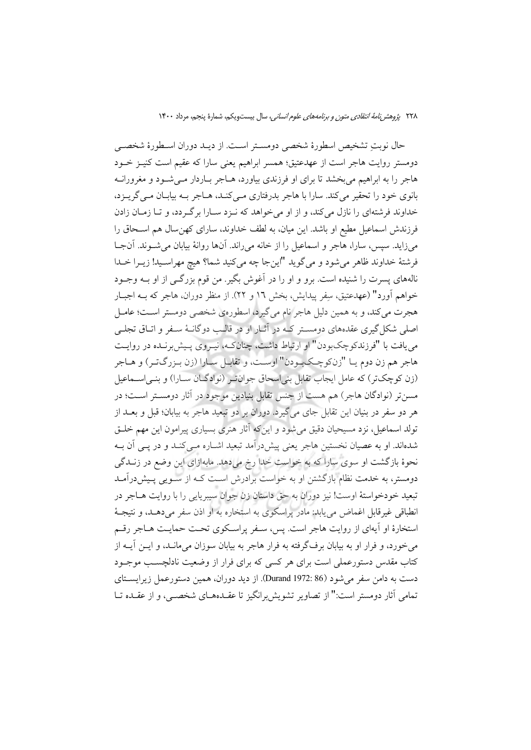حال نوبتِ تشخيص اسطورهٔ شخصي دومسـتر اسـت. از ديـد دوران اسـطورهٔ شخصـي دومستر روايت هاجر است از عهدعتيق؛ همسر ابراهيم يعني سارا كه عقيم است كنيـز خـود هاجر را به ابراهیم می بخشد تا برای او فرزندی بیاورد، هـاجر بـاردار مـی شـود و مغرورانــه بانوی خود را تحقیر می کند. سارا با هاجر بدرفتاری مـی کنـد، هـاجر بـه بیابـان مـی گریـزد، خداوند فرشتهای را نازل میکند، و از او میخواهد که نـزد سـارا برگـردد، و تـا زمـان زادن فرزندش اسماعیل مطیع او باشد. این میان، به لطف خداوند، سارای کهن سال هم اسـحاق را می زاید. سیس، سارا، هاجر و اسماعیل را از خانه می راند. آنها روانهٔ بیابان می شـوند. آنجـا فرشتهٔ خداوند ظاهر میشود و میگوید "اینجا چه میکنید شما؟ هیچ مهراسـید! زیــرا خــدا نالههای پسرت را شنیده است. برو و او را در آغوش بگیر. من قوم بزرگـی از او بــه وجــود خواهم آورد" (عهدعتيق، سِفر پيدايش، بخش ١٦ و ٢٢). از منظر دوران، هاجر كه بـه اجبـار هجرت می کند، و به همین دلیل هاجر نام می گیرد، اسطورهی شخصی دومستر است؛ عامـل اصلی شکل گیری عقدههای دومسـتر کـه در آثــار او در قالـب دوگانــهٔ ســفر و اتــاق تجلــی می یافت با "فرزندکوچکبودن" او ارتباط داشت، چنانکـه، نیـروی پـیش برنـده در روایـت هاجر هم زن دوم يـا "زنكوچـكبـودن" اوسـت، و تقابـل سـارا (زن بـزرگتـر) و هـاجر (زن کوچکتر) که عامل ایجاب تقابل بنی اسحاق جوان تر (نوادگـان سـارا) و بنـی اســماعیل مسنتر (نوادگان هاجر) هم هست از جنس تقابل بنیادین موجود در آثار دومسـتر اسـت؛ در هر دو سفر در بنیان این تقابل جای می گیرد. دوران بر دو تبعید هاجر به بیابان؛ قبل و بعـــد از تولد اسماعیل، نزد مسیحیان دقیق می شود و این که آثار هنری بسیاری پیرامون این مهم خلـق شدهاند. او به عصیان نخستین هاجر یعنی پیش درآمد تبعید اشـاره مـی کنـد و در یـی آن بـه نحوهٔ بازگشت او سوی سارا که به خواست خدا رخ میدهد. مابهازای این وضع در زنـدگی دومستر، به خدمت نظام بازگشتن او به خواست برادرش اسـت کــه از ســویی پــیش،درآمــد تبعيد خودخواستهٔ اوست! نيز دوران به حق داستان زن جوان سيبريايي را با روايت هــاجر در انطباقي غيرقابل اغماض مي يابد: مادر پراسكوي به استخاره به او اذن سفر مي دهـد، و نتيجـهٔ استخارهٔ او آیهای از روایت هاجر است. پس، سـفر پراسـکوی تحـت حمایـت هـاجر رقـم می خورد، و فرار او به بیابان برفگرفته به فرار هاجر به بیابان سوزان میمانـد، و ایــن آیــه از کتاب مقدس دستورعملی است برای هر کسی که برای فرار از وضعیت نادلچسـب موجـود دست به دامن سفر می شود (86 :Durand 1972). از دید دوران، همین دستورعمل زیرایستای تمامی آثار دومستر است:" از تصاویر تشویش برانگیز تا عقـدهـای شخصـی، و از عقـده تــا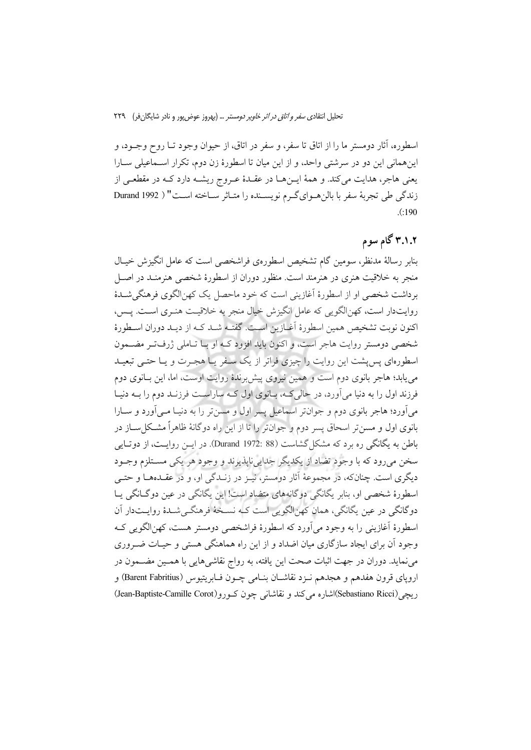اسطوره، آثار دومستر ما را از اتاق تا سفر، و سفر در اتاق، از حیوان وجود تــا روح وجــود، و اینهمانی این دو در سرشتی واحد، و از این میان تا اسطورهٔ زن دوم، تکرار اسـماعیلی ســارا يعني هاجر، هدايت مي كند. و همهٔ ايــنهــا در عقــدهٔ عــروج ريشــه دارد كــه در مقطعــي از زندگی طی تجربهٔ سفر با بالن هوای گرم نویسـنده را متـاثر سـاخته اسـت" ( Durand 1992  $(190)$ 

# ۳.۱.۲ گام سوم

بنابر رسالهٔ مدنظر، سومین گام تشخیص اسطوروی فراشخصی است که عامل انگیزش خیـال منجر به خلاقیت هنری در هنرمند است. منظور دوران از اسطورهٔ شخصی هنرمنـد در اصـل برداشت شخصی او از اسطورهٔ آغازینی است که خود ماحصل یک کهنالگوی فرهنگی شـدهٔ روايتدار است، كهن|لگويي كه عامل انگيزش خيال منجر به خلاقيـت هنـري اسـت. پـس، اکنون نوبت تشخیص همین اسطورهٔ اَغبازین است. گفتـه شـد کـه از دیـد دوران اسـطورهٔ شخصی دومستر روایت هاجر است، و اکنون باید افزود کـه او بـا تـاملی ژرفتر مضـمون اسطورهای پس پشت این روایت را چیزی فراتر از یک سـفر یـا هجـرت و یـا حتـی تبعیـد می پابد؛ هاجر بانوی دوم است و همین نیروی پیش برندهٔ روایت اوست، اما، این بـانوی دوم فرزند اول را به دنیا می آورد، در حالی کـه، بـانوی اول کـه ساراسـت فرزنـد دوم را بـه دنیـا مي آورد؛ هاجر بانوي دوم و جوانتر اسماعيل پسر اول و مسن تر را به دنيـا مـي آورد و ســارا بانوی اول و مسین تر اسحاق پسر دوم و جوانتر را تا از این راه دوگانهٔ ظاهراً مشکل سـاز در باطن به یگانگی ره برد که مشکل گشاست (Burand 1972: 88). در ایــن روایــت، از دوتــایی سخن مي رود كه با وجود تضاد از يكديگر جدايي نايذيرند و وجود هر يكي مســتلزم وجــود دیگری است. چنانکه، در مجموعهٔ آثار دومستر، نیـز در زنــدگی او، و در عقــدههــا و حتــی اسطورهٔ شخصی او، بنابر یگانگی دوگانههای متضاد است! این یگانگی در عین دوگـانگی پـا دوگانگي در عين يگانگي، همان كهنالگويي است كـه نسـخهٔ فرهنگـي شـدهٔ روايــتدار آن اسطورهٔ آغازینی را به وجود می آورد که اسطورهٔ فراشخصی دومستر هست، کهنالگویی ک وجود أن برای ایجاد سازگاری میان اضداد و از این راه هماهنگی هستی و حیـات ضـروری می نماید. دوران در جهت اثبات صحت این یافته، به رواج نقاشی هایی با همـین مضــمون در اروپای قرون هفدهم و هجدهم نـزد نقاشـان بنـامی چـون فـابریتیوس (Barent Fabritius) و ريچي(Sebastiano Ricci)اشاره مي كند و نقاشاني چون كـورو(Jean-Baptiste-Camille Corot)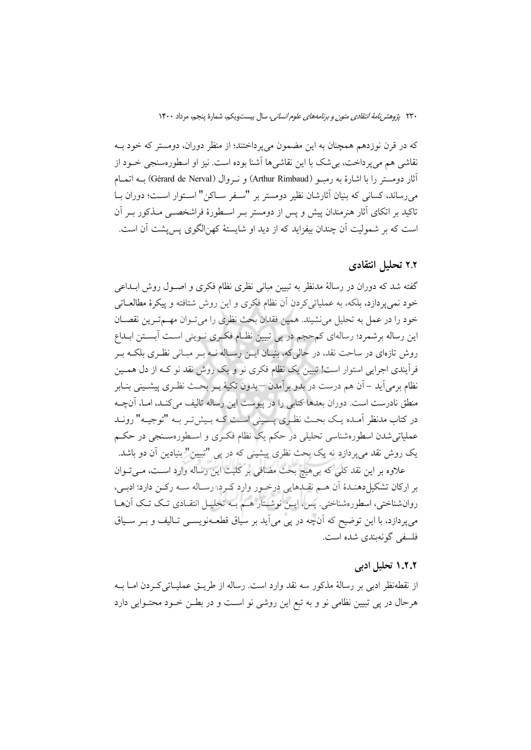که در قرن نوزدهم همچنان به این مضمون می پرداختند؛ از منظر دوران، دومستر که خود بـه نقاشی هم می یرداخت، بی شک با این نقاشی ها آشنا بوده است. نیز او اسطورهسنجی خــود از آثار دومستر را با اشارهٔ به رمبـو (Arthur Rimbaud) و نـروال (Gérard de Nerval) بــه اتمــام مي رساند، كساني كه بنيان أثارشان نظير دومستر بر "سـفر سـاكن" اسـتوار اسـت؛ دوران بـا تاکید بر اتکای آثار هنرمندان پیش و پس از دومستر بـر اسـطورهٔ فراشخصــی مــذکور بــر آن است که بر شمولیت آن چندان بیفزاید که از دید او شایستهٔ کهن|لگوی پس پشت آن است.

## ۲.۲ تحلیل انتقادی

گفته شد که دوران در رسالهٔ مدنظر به تبیین مبانی نظری نظام فکری و اصـول روش ابــداعی خود نمیپردازد، بلکه، به عملیاتیکردن آن نظام فکری و این روش شتافته و پیکرهٔ مطالعــاتی خود را در عمل به تحلیل می نشیند. همین فقدان بحث نظری را می تـوان مهــم تـرین نقصـان این رساله برشمرد؛ رسالهای کمحجم در پی تبیین نظـام فکـری نـوینی اسـت آبسـتن ابـداع روش تازهای در ساحت نقد، در حالیکه، بنیـان ایــن رسـاله نــه بــر مبــانی نظـری بلکــه بــر فرآیندی اجرایی استوار است! تبیین یک نظام فکری نو و یک روش نقد نو کـه از دل همـین نظام برمي اَيد – اَن هم درست در بدو بر اَمدن – بدون تکيهٔ بــر بحــث نظــري پيشــيني بنــابر منطق نادرست است. دوران بعدها كتابي را در پيوست اين رساله تاليف مي كنـد، امـا، آنچــه در کتاب مدنظر آمـده يـک بحـث نظـري پسـيني اسـت کـه بـيشتـر بـه "توجيـه" رونـد عملیاتی شدن اسطورهشناسی تحلیلی در حکم یک نظام فک ری و اسـطورهسـنجی در حکـم یک روش نقد میپردازد نه یک بحث نظری پیشینی که در پی "تبیین" بنیادین آن دو باشد. علاوه بر این نقد کلی که بی هیچ بحث مضافی بر کلیت این رساله وارد اسـت، مــیتــوان

بر ارکان تشکیل دهنـدهٔ آن هــم نقـدهایی درخـور وارد کـرد. رسـاله ســه رکــن دارد: ادبــی، روانشناختي، اسطورهشناختي. پس، ايــِن نوشــتار هــم بــه تحليــل انتقــادي تــک تــک آن&ــا می پردازد، با این توضیح که آنچه در پی می آید بر سیاق قطعـهنویســی تــالیف و بــر ســیاق فلسفى گونەبندى شدە است.

### ۱.۲.۲ تحلیل ادبی

از نقطهنظر ادبی بر رسالهٔ مذکور سه نقد وارد است. رساله از طریــق عملیــاتی کــردن امــا بــه هرحال در پی تبیین نظامی نو و به تبع این روشی نو است و در بطـن خـود محتـوایی دارد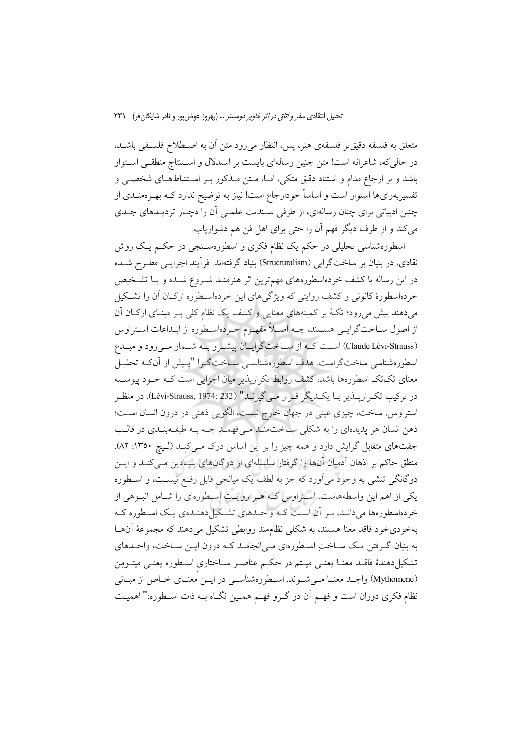متعلق به فلسفه دقیقتر فلسفهی هنر، پس، انتظار می رود متن آن به اصـطلاح فلسـفی باشـد. در حالی که، شاعرانه است! متن چنین رسالهای بایست بر استدلال و اسـتنتاج منطقـی اسـتوار باشد و بر ارجاع مدام و استناد دقیق متکی، امـا، مـتن مـذکور بـر اسـتنباطهـای شخصــی و تفسیربهرایها استوار است و اساساً خودارجاع است! نیاز به توضیح ندارد کــه بهــرهمنــدی از چنین ادبیاتی برای چنان رسالهای، از طرفی سـندیت علمـی آن را دچـار تردیـدهای جـدی مي كند و از طرف ديگر فهم آن را حتى براى اهل فن هم دشوارياب.

اسطورهشناسی تحلیلی در حکم یک نظام فکری و اسطورهسـنجی در حکـم یـک روش نقادی، در بنیان بر ساختگرایی (Structuralism) بنیاد گرفتهاند. فرآیند اجرایــی مطــرح شــده در این رساله با کشف خردهاسطورههای مهمترین اثر هنرمنـد شــروع شــده و بــا تشــخیص خردهاسطورهٔ کانونی و کشف روایتی که ویژگیهای این خردهاسـطوره ارکـان آن را تشـکیل میدهند پیش میرود؛ تکیهٔ بر کمینههای معنایی و کشف یک نظام کلی بـر مبنـای ارکـان آن از اصول ســاختگرايــي هســتند، چــه اصــلاً مفهــوم خــردهاســطوره از ابــداعات اســتراوس (Claude Lévi-Strauss) است کـه از سـاختگرایـان پیشـرو بـه شـمار مـىرود و مبـدع اسطورهشناسی ساختگراست. هدف اسطورهشناسـی سـاختگـرا "پـیش از آنکـه تحلیـل معنای تکتک اسطورهها باشد، کشف روابط تکرارپذیر میان اجزایی است کـه خـود پیوسـته در تركيب تكـراريـــذير بــا يكــديگر قــرار مــيگيرنــد" (Lévi-Strauss, 1974: 232). در منظـر استراوس، ساخت، چیزی عینی در جهان خارج نیست، الگویی ذهنی در درون انسان است؛ ذهن انسان هر پدیدهای را به شکلی ساخت مند می فهمـد چـه بـه طبقـهبنـدی در قالـب جفتهای متقابل گرایش دارد و همه چیز را بر این اساس درک مـی کنـد (لـیج ۱۳۵۰: ۸۲). منطق حاکم بر اذهان آدمیان آنها را گرفتار سلسلهای از دوگانهای بنیـادین مـی کنـد و ایــن دوگانگی تنشی به وجود می آورد که جز به لطف یک میانجی قابل رفع نیست، و اسطوره یکی از اهم این واسطههاست. استراوس کـه هـر روایـت اسـطورهای را شـامل انبـوهی از خردهاسطورهها میدانـد، بـر آن اسـت کـه واحـدهای تشـکیلدهنـدهی یـک اسـطوره کـه بهخودیخود فاقد معنا هستند، به شکلی نظامهند روابطی تشکیل میدهند که مجموعهٔ آنهـا به بنیان گـرفتن یـک سـاختِ اسـطورهای مـی|نجامـد کـه درون ایــن سـاخت، واحـدهای تشكيل دهندهٔ فاقـد معنـا يعنـي ميـتم در حكـم عناصـر سـاختاري اسـطوره يعنـي ميتـومِن (Mythomene) واجلد معنـا مـى شـوند. اسـطورهشناسـى در ايـن معنـاي خـاص از مبـانى نظام فکری دوران است و فهـم آن در گـرو فهـم همـین نگـاه بـه ذات اسـطوره:" اهمیـت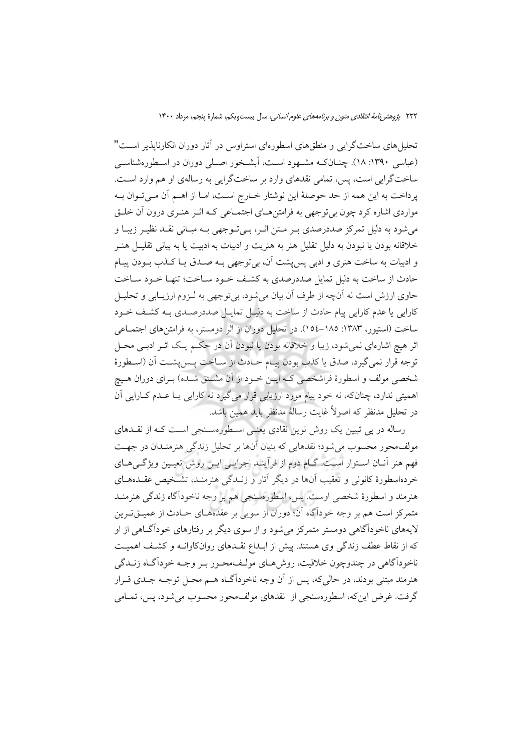تحلیل های ساختگرایی و منطقهای اسطورهای استراوس در آثار دوران انکارناپذیر است" (عباسی ۱۳۹۰: ۱۸). چنـانکـه مشـهود اسـت، اَبشـخور اصـلی دوران در اسـطورهشناسـی ساختگرایی است، پس، تمامی نقدهای وارد بر ساختگرایی به رسالهی او هم وارد است. پرداخت به این همه از حد حوصلهٔ این نوشتار خـارج اسـت، امـا از اهــم آن مــیتـوان بــه مواردي اشاره كرد چون بي توجهي به فرامتنهـاي اجتمـاعي كـه اثـر هنـري درون أن خلـق می شود به دلیل تمرکز صددرصدی بـر مـتن اثـر، بـی تـوجهی بـه مبـانی نقـد نظیـر زیبـا و خلاقانه بودن يا نبودن به دليل تقليل هنر به هنريت و ادبيات به ادبيت يا به بياني تقليــل هنــر و ادبیات به ساخت هنری و ادبی پس پشت آن، بی توجهی بـه صـدق پـا کـذب بـودن پیـام حادث از ساخت به دلیل تمایل صددرصدی به کشف خـود سـاخت؛ تنهـا خـود سـاخت حاوي ارزش است نه آنچه از طرف آن بيان مي شود، بي توجهي به لـزوم ارزيــابي و تحليــل كارايي يا عدم كارايي پيام حادث از ساخت به دليـل تمايـل صددرصـدي بـه كشـف خـود ساخت (استیور، ۱۳۸۳: ۱۸۵–۱۵٤). در تحلیل دوران از اثر دومستر، به فرامتن های اجتمــاعی اثر هيچ اشارهاي نمي شود، زيبا و خلاقانه بودن يا نبودن اّن در حكـم يـك اثـر ادبـي محـل توجه قرار نمي گيرد، صدق يا كذب بودن پيـام حـادث از سـاخت پـسپشـت آن (اسـطورهٔ شخصی مولف و اسطورهٔ فراشخصی کـه ایــن خــود از آن مشــتق شــده) بــرای دوران هــیچ اهمیتی ندارد، چنانکه، نه خود پیام مورد ارزیابی قرار می گیرد نه کارایی یـا عـدم کــارایی آن در تحليل مدنظر كه اصولاً غايت رسالة مدنظر بايد همين باشد.

رساله در پی تبیین یک روش نوین نقادی یعنبی اسطورهسنجی است کـه از نقـلـهای مولف محور محسوب می شود؛ نقدهایی که بنیان آنها بر تحلیل زندگی هنرمنیدان در جهت فهم هنر آنــان اســتوار اســت. گــام دوم از فرآينــد اجرايــي ايــن روش تعيـين ويژگــي هــاي خردهاسطورهٔ کانونی و تعقیب آنها در دیگر آثار و زنـدگی هنرمنـد، تشـخیص عقــدههــای هنرمند و اسطورهٔ شخصی اوست. پس، اسطورهسنجی هم بر وجه ناخودآگاه زندگی هنرمنـد متمرکز است هم بر وجه خودآگاه آن؛ دوران از سویی بر عقدههای حـادث از عمیــقتــرین لایههای ناخودآگاهی دومستر متمرکز میشود و از سوی دیگر بر رفتارهای خودآگـاهی از او که از نقاط عطف زندگی وی هستند. پیش از ابـداع نقـدهای روانکاوانـه و کشـف اهمیـت ناخوداًگاهي در چندوچون خلاقيت، روش هـاي مولـف.محـور بـر وجـه خوداًگـاه زنــدگي هنرمند مبتنی بودند، در حالی که، پس از آن وجه ناخوداًگــاه هــم محــل توجــه جــدی قــرار گرفت. غرض اینکه، اسطورهسنجی از نقدهای مولف،حور محسوب میشود، پس، تمـامی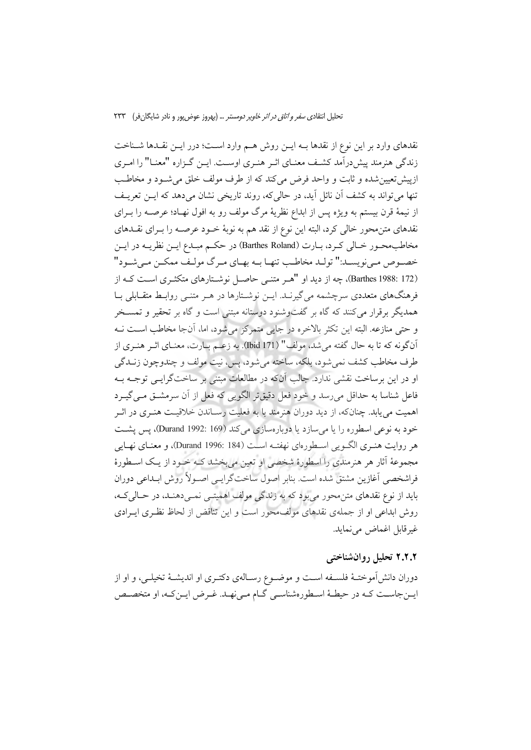نقدهای وارد بر این نوع از نقدها بــه ایــن روش هــم وارد اســت؛ درر ایــن نقــدها شــناخت زندگی هنرمند پیش درآمد کشف معنـای اثـر هنـری اوسـت. ایــن گــزاره "معنـا" را امـری ازپیش تعیین شده و ثابت و واحد فرض میکند که از طرف مولف خلق می شـود و مخاطـب تنها می تواند به کشف آن نائل آید. در حالی که، روند تاریخی نشان می دهد که ایــن تعریــف از نیمهٔ قرن بیستم به ویژه پس از ابداع نظریهٔ مرگ مولف رو به افول نهـاد؛ عرصــه را بــرای نقدهای متن محور خالی کرد، البته این نوع از نقد هم به نوبهٔ خــود عرصــه را بــرای نقــدهای مخاطب محـور خـالي كـرد، بـارت (Barthes Roland) در حكـم مبـدع ايــن نظريــه در ايــن خصـوص مـي نويسـد:" تولـد مخاطـب تنهـا بــه بهــاي مــرگ مولـف ممكــن مـي شــود" (Barthes 1988: 172)، چه از دید او "هـر متنـبي حاصـل نوشـتارهاي متكثـري اسـت كـه از فرهنگهای متعددی سرچشمه می گیرنـد. ایــن نوشـتارها در هــر متنــی روابـط متقــابلی بــا همدیگر برقرار میکنند که گاه بر گفتوشنود دوستانه مبتنی است و گاه بر تحقیر و تمسـخر و حتى منازعه. البته اين تكثر بالاخره در جايبي متمركز مى شود، اما، آنجا مخاطب است نــه آنگونه که تا به حال گفته می شد، مولف" (Ibid 171). به زعــم بــارت، معنــای اثــر هنــری از طرف مخاطب كشف نمي شود، بلكه، ساخته مي شود، پس، نيت مولف و چندوچون زنــدگي او در این برساخت نقشی ندارد. جالب آنکه در مطالعات مبتنی بر ساختگرایسی توجــه بــه فاعل شناسا به حداقل می رسد و خود فعل دقیقتر الگویی که فعل از آن سرمشــق مــی گیــرد اهمیت می یابد. چنانکه، از دید دوران هنرمند با به فعلیت رسـاندن خلاقیـت هنـری در اثـر خود به نوعی اسطوره را یا می سازد یا دوبارهسازی می کند (Durand 1992: 169)، پس پشت هر روايت هنـري الگـويي اسـطورهاي نهفتـه اسـت (184 :Durand))، و معنـاي نهـايي مجموعهٔ آثار هر هنرمندی را اسطورهٔ شخصی او تعین می بخشد کـه خـود از یـک اسـطورهٔ فراشخصی آغازین مشتق شده است. بنابر اصول ساختگرایسی اصـولاً روش ابـداعی دوران بايد از نوع نقدهاي متن محور مي بود كه به زندگي مولف اهميتـي نمـي دهنـد، در حـالي كـه، روش ابداعی او از جملهی نقدهای مولف،حور است و این تناقض از لحاظ نظـری ایـرادی غيرقابل اغماض مي نمايد.

### ۲.۲.۲ تحلیل روانشناختی

دوران دانشآموختـهٔ فلسـفه اســت و موضــوع رســالهی دکتــری او اندیشــهٔ تخیلــی، و او از ایـنجاسـت كـه در حیطـهٔ اسـطورهشناسـي گـام مـیفهـد. غـرض ایـنکـه، او متخصـص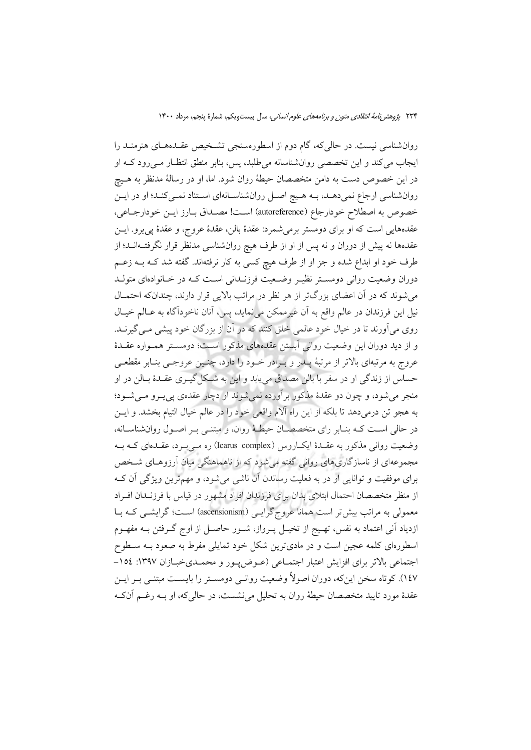روانشناسی نیست. در حالیکه، گام دوم از اسطورهسنجی تشخیص عقـدههـای هنرمنـد را ایجاب می کند و این تخصصی روان شناسانه می طلبد، پس، بنابر منطق انتظـار مـیرود کـه او در این خصوص دست به دامن متخصصان حیطهٔ روان شود. اما، او در رسالهٔ مدنظر به هـیچ روانشناسی ارجاع نمیدهـد، بــه هـیچ اصــل روانشناســانهای اسـتناد نمــیکنـد؛ او در ایــن خصوص به اصطلاح خودارجاع (autoreference) است! مصداق بـارز ايـن خودارجـاعي، عقدههايي است كه او براي دومستر برمي شمرد: عقدهٔ بالن، عقدهٔ عروج، و عقدهٔ پي يرو. ايـن عقدهها نه پیش از دوران و نه پس از او از طرف هیچ روانشناسی مدنظر قرار نگرفتــهانــد؛ از طرف خود او ابداع شده و جز او از طرف هیچ کسی به کار نرفتهاند. گفته شد کــه بــه زعــم دوران وضعیت روانی دومستر نظیـر وضـعیت فرزنـدانی اسـت کـه در خـانوادهای متولـد میشوند که در آن اعضای بزرگتر از هر نظر در مراتب بالایی قرار دارند، چندانکه احتمـال نیل این فرزندان در عالم واقع به آن غیرممکن می نماید، پس، آنان ناخودآگاه به عـالم خیـال روی می آورند تا در خیال خود عالمی خلق کنند که در آن از بزرگان خود پیشی مـی گیرنــد. و از دید دوران این وضعیت روانی آبستن عقدههای مذکور است؛ دومسـتر همـواره عقـدهٔ عروج به مرتبهای بالاتر از مرتبهٔ پــدر و بــرادر خــود را دارد، چنــین عروجــی بنــابر مقطعــی حساس از زندگی او در سفر با بالن مصداق می پابد و این به شکل گیــری عقــدهٔ بــالن در او منجر مي شود، و چون دو عقدۀ مذكور بر آورده نمي شوند او دچار عقدهي يي پـرو مـي شـود؛ به هجو تن درمیدهد تا بلکه از این راه آلام واقعی خود را در عالم خیال التیام بخشد. و ایــن در حالی است کـه بنـابر رای متخصصـان حیطـهٔ روان، و مبتنـی بـر اصـول روانشناسـانه، وضعیت روانی مذکور به عقـدهٔ ایکباروس (Icarus complex) ره مـی بـرد، عقـدهای کـه بــه مجموعهای از ناسازگاریهای روانی گفته می شود که از ناهماهنگی میان آرزوهـای شـخص برای موفقیت و توانایی او در به فعلیت رساندن آن ناشی می شود، و مهم ترین ویژگی آن ک از منظر متخصصان احتمال ابتلای بدان برای فرزندان افراد مشهور در قیاس با فرزنـدان افـراد معمولی به مراتب بیش تر است همانا عروج گرایسی (ascensionism) است؛ گرایشبی کـه بـا ازدیاد آنی اعتماد به نفس، تهـیج از تخیــل پــرواز، شــور حاصــل از اوج گــرفتن بــه مفهــوم اسطورهای کلمه عجین است و در مادیترین شکل خود تمایلی مفرط به صعود بــه ســطوح اجتماعی بالاتر برای افزایش اعتبار اجتماعی (عـوض پـور و محمـدیخبـازان ١٣٩٧: ١٥٤-۱٤٧). کوتاه سخن اینکه، دوران اصولاً وضعیت روانـی دومسـتر را بایسـت مبتنـی بـر ایـن عقدهٔ مورد تایید متخصصان حیطهٔ روان به تحلیل می نشست، در حالی که، او بــه رغــم آنکـه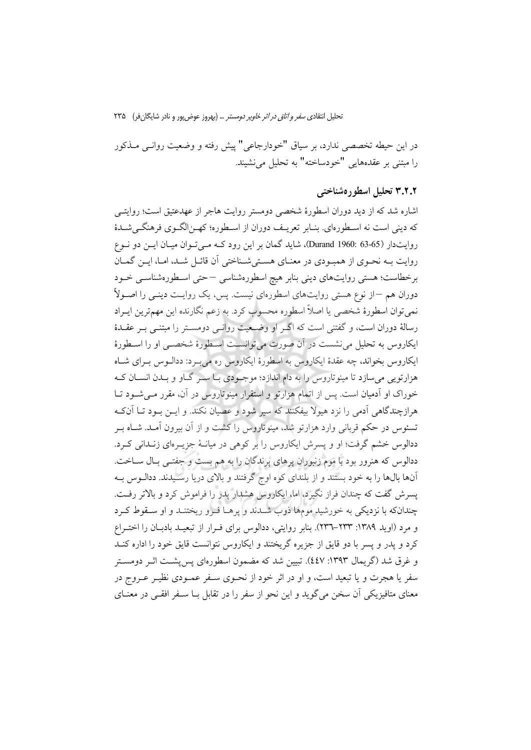تحلیل انتقادی *سفر و اتاق در اثر خاویر دومستر* … (بهروز عوض بور و نادر شایگان فر) ۲۳۵

در این حیطه تخصصی ندارد، بر سیاق "خودارجاعی" پیش رفته و وضعیت روانـی مـذکور را مبتني بر عقدههايي "خودساخته" به تحليل مي نشيند.

## ۳.۲.۲ تحلیل اسطو د هشناختبر

اشاره شد که از دید دوران اسطورهٔ شخصی دومستر روایت هاجر از عهدعتیق است؛ روایتبی كه ديني است نه اسـطورهاي. بنـابر تعريـف دوران از اسـطوره؛ كهـنالگـوي فرهنگـي شـدهٔ روایتدار (55-63 :Durand) 1960)، شاید گمان بر این رود کـه مـیتوان میـان ایـن دو نـوع روایت بـه نحـوی از همبـودی در معنـای هسـتی شـناختی آن قائـل شـد، امـا، ایـن گمـان برخطاست؛ هستی روایتهای دینی بنابر هیچ اسطورهشناسی –حتی اسطورهشناسبی خـود دوران هم –از نوع هستی روایتهای اسطورهای نیست. پس، یک روایـت دینـی را اصـولاً نمیتوان اسطورهٔ شخصی یا اصلاً اسطوره محسوب کرد. به زعم نگارنده این مهمترین ایـراد رسالهٔ دوران است، و گفتنی است که اگــر او وضــعیت روانــی دومســتر را مبتنــی بــر عقــدهٔ ایکاروس به تحلیل می نشست در آن صورت می توانسـت اسـطورهٔ شخصـی او را اسـطورهٔ ایکاروس بخواند، چه عقدهٔ ایکاروس به اسطورهٔ ایکاروس ره می بـرد: ددالـوس بـرای شــاه هزارتویی می سازد تا مینوتاروس را به دام اندازد؛ موجـودی بــا ســر گــاو و بــدن انســان کــه خوراک او اَدمیان است. پس از اتمام هزارتو و استقرار مینوتاروس در آن، مقرر مـی شـود تــا هرازچندگاهی آدمی را نزد هیولا بیفکنند که سپر شود و عصیان نکند. و ایــن بــود تــا آنکــه تسئوس در حکم قربانی وارد هزارتو شد، مینوتاروس را کشت و از آن بیرون آمـد. شـاه بــر ددالوس خشم گرفت؛ او و پسرش ایکاروس را بر کوهی در میانـهٔ جزیـرمای زنـدانی کـرد. ددالوس که هنرور بود با موم زنبوران پرهای پرندگان را به هم بست و جفتـی بـال سـاخت. آنها بالها را به خود بستند و از بلندای کوه اوج گرفتند و بالای دریا رسـیدند. ددالـوس بـه پسرش گفت که چندان فراز نگیرد، اما، ایکاروس هشدار پدر را فراموش کرد و بالاتر رفت. چندانکه با نزدیکی به خورشید مومها ذوب شـدند و پرهـا فـرو ریختنـد و او سـقوط کـرد و مرد (اوید ۱۳۸۹: ۲۳۳-۲۳۳). بنابر روایتی، ددالوس برای فـرار از تبعیـد بادبـان را اختـراع کرد و یدر و پسر با دو قایق از جزیره گریختند و ایکاروس نتوانست قایق خود را اداره کنــد و غرق شد (گریمال ۱۳۹۳: ٤٤٧). تبیین شد که مضمون اسطورهای پس پشـت اثــر دومســتر سفر یا هجرت و یا تبعید است، و او در اثر خود از نحـوی سـفر عمـودی نظیـر عـروج در معنای متافیزیکی آن سخن میگوید و این نحو از سفر را در تقابل بـا سـفر افقـی در معنــای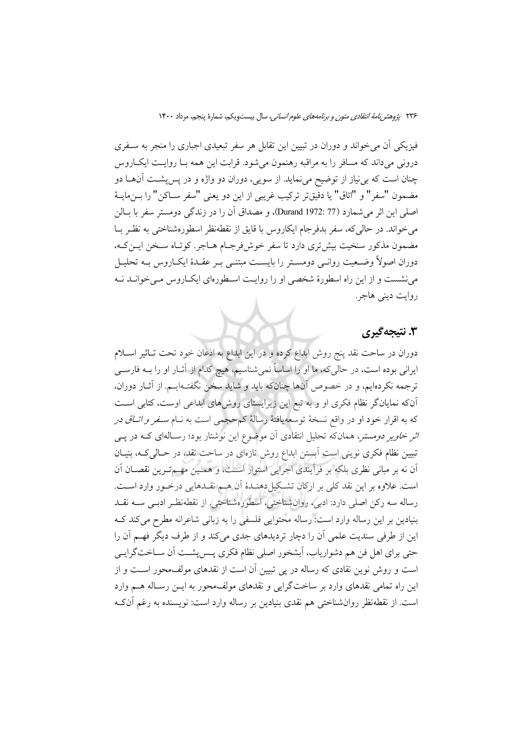فیزیکی اَن می خواند و دوران در تبیین این تقابل هر سفر تبعیدی اجباری را منجر به سـفری درونی میداند که مسافر را به مراقبه رهنمون می شود. قرابت این همه بـا روایـت ایکباروس چنان است که بی نیاز از توضیح می نماید. از سویی، دوران دو واژه و در پس پشت آنها دو مضمون "سفر" و "اتاق" يا دقيقتر تركيب غريبي از اين دو يعني "سفر ســاكن" را بــنαايــهٔ اصلي اين اثر مي شمارد (77 :1972 Durand)، و مصداق أن را در زندگي دومستر سفر با بــالن می خواند. در حالی که، سفر بدفرجام ایکاروس با قایق از نقطهنظر اسطورهشناختی به نظـر بــا مضمون مذکور سنخیت بیش تری دارد تا سفر خوش فرجـام هـاجر. کوتـاه سـخن ایــن کـه، دوران اصولاً وضـعیت روانـی دومســتر را بایســت مبتنـی بـر عقــدهٔ ایکــاروس بــه تحليــل می نشست و از این راه اسطورهٔ شخصی او را روایت اسطورهای ایک اروس می خوانـد نـه روايت ديني هاجر.

## 3. نتيجه گيري

دوران در ساحت نقد پنج روش ابداع کرده و در این ابداع به اذعان خود تحت تـاثیر اسـلام ایرانی بوده است، در حالی که، ما او را اساساً نمیشناسیم، هیچ کدام از آثــار او را بــه فارســی ترجمه نکردهایم، و در خصوص آنها چنانکه باید و شاید سخن نگفتـهایــم. از آثــار دوران، آنکه نمایانگر نظام فکری او و به تبع این زیرایستای روش های ابداعی اوست، کتابی است که به اقرار خود او در واقع نسخهٔ توسعهیافتهٔ رسالهٔ کم حجمی است به نــام *ســفر و اتــاق در اثر خاویر دومستر، همان که تحلیل انتقادی آن موضوع این نوشتار بود؛ رس*الهای کـه در پــی تبیین نظام فکری نوینی است آبستن ابداع روش تازهای در ساحت نقد، در حـالی کـه، بنیـان آن نه بر مبانی نظری بلکه بر فرآیندی اجرایی استوار است، و همـین مهـمتـرین نقصـان آن است. علاوه بر اين نقد كلي بر اركان تشكيل دهنـدۀ أن هـم نقـدهايي درخـور وارد اسـت. رساله سه ركن اصلي دارد: ادبي، روانشناختي، اسطورهشناختي. از نقطهنظر ادبـي ســه نقــد بنیادین بر این رساله وارد است: رساله محتوایی فلسفی را به زبانی شاعرانه مطرح می کند ک این از طرفی سندیت علمی آن را دچار تردیدهای جدی می کند و از طرف دیگر فهم آن را حتی برای اهل فن هم دشواریاب، آبشخور اصلی نظام فکری پـسپشـت آن ســاختگرایــی است و روش نوین نقادی که رساله در پی تبیین آن است از نقدهای مولفءحور است و از این راه تمامی نقدهای وارد بر ساختگرایی و نقدهای مولف،حور به ایــن رسـاله هــم وارد است. از نقطهنظر روانشناختی هم نقدی بنیادین بر رساله وارد است: نویسنده به رغم آنکه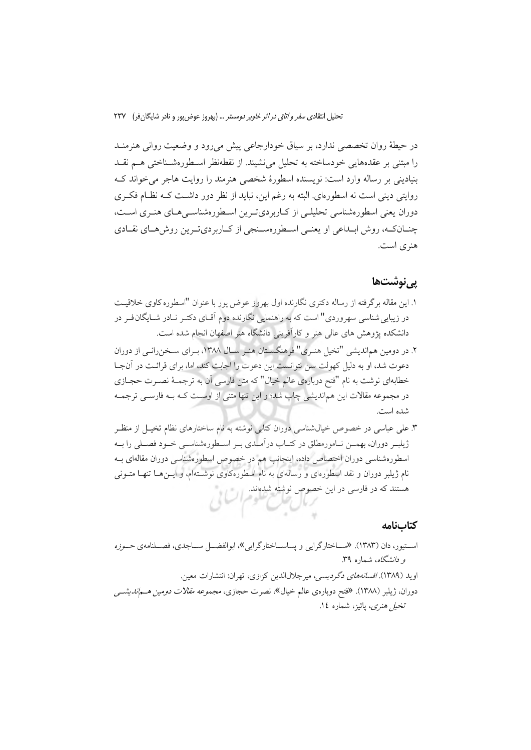تحلیل انتقاد*ی سفر و اتاق در اثر خاویر دومستر* … (بهروز عوض یور و نادر شایگان فر) ۲۳۷

در حیطهٔ روان تخصصی ندارد، بر سیاق خودارجاعی پیش میرود و وضعیت روانی هنرمنـد را مبتنی بر عقدههایی خودساخته به تحلیل می نشیند. از نقطهنظر اسـطورهشـناختی هــم نقــد بنیادینی بر رساله وارد است: نویسنده اسطورهٔ شخصی هنرمند را روایت هاجر می خواند ک روایتی دینی است نه اسطورهای البته به رغم این، نباید از نظر دور داشـت کـه نظـام فکـری دوران يعني اسطورهشناسي تحليلي از كـاربرديتـرين اسـطورهشناسـي هـاي هنـري اسـت، چنان که، روش ابلداعی او یعنبی اسطورهسنجی از کاربردیترین روشهای نقادی هنری است.

### <u>یے نوشتھا</u>

- ١. اين مقاله برگرفته از رساله دكترى نگارنده اول بهروز عوض پور با عنوان "اسطوره كاوى خلاقيت در زیبایی شناسی سهروردی" است که به راهنمایی نگارنده دوم آقــای دکتــر نــادر شــایگان فــر در دانشکده پژوهش های عالی هنر و کارآفرینی دانشگاه هنر اصفهان انجام شده است.
- ۲. در دومین هماندیشی "تخیل هنـری" فرهنگسـتان هنـر سـال ۱۳۸۸، بـرای سـخنرانـی از دوران دعوت شد، او به دلیل کهولت سن نتوانست این دعوت را اجابت کند، اما، برای قرائـت در آنجـا خطابهای نوشت به نام "فتح دوبارهی عالم خیال" که متن فارسی آن به ترجمـهٔ نصـرت حجـازی در مجموعه مقالات این هماندیشی چاپ شد؛ و این تنها متنی از اوسـت کـه بــه فارســی ترجمــه شده است.
- ۳. علی عباسی در خصوص خیال شناسی دوران کتابی نوشته به نام ساختارهای نظام تخیـل از منظـر ژیلبـر دوران، بهمــن نــامورمطلق در کتــاب درآمـلدي بــر اســطورهشناســي خــود فصــلـي را بــه اسطورهشناسی دوران اختصاص داده، اینجانب هم در خصوص اسطورهشناسی دوران مقالهای بـه نام ژیلبر دوران و نقد اسطورهای و رسالهای به نام اسطورهکاوی نوشـتهام، و ایــنهـا تنهـا متــونی هستند که در فارسی در این خصوص نوشته شدهاند.

### كتابنامه

استیور، دان (۱۳۸۳). «ساختارگرایی و پساسـاختارگرایی»، ابوالفضــل ســاجدی، فصــلنامهی *حــوزه و دانشگاه*، شماره ۳۹. اويد (١٣٨٩). *افسانههاى دگرديسى، ميرجلال الدين كزازى، تهران: انتشارات معين.* دوران، ژیلبر (۱۳۸۸). «فتح دوبارهی عالم خیال»، نصرت حجازی، *مجموعه مقالات دومین هـماندیشــی* تخيل هنري، يائيز، شماره ١٤.